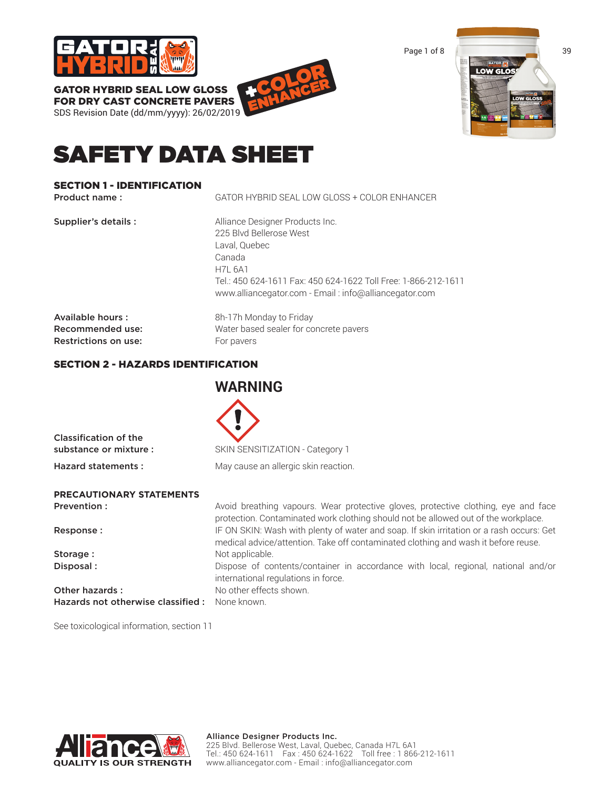

GATOR HYBRID SEAL LOW GLOSS

FOR DRY CAST CONCRETE PAVERS SDS Revision Date (dd/mm/yyyy): 26/02/2019 +COLOR ENHANCER



# SAFETY DATA SHEET

# SECTION 1 - IDENTIFICATION

| Product name:                                                | GATOR HYBRID SEAL LOW GLOSS + COLOR ENHANCER                                                                                                                                                                                       |
|--------------------------------------------------------------|------------------------------------------------------------------------------------------------------------------------------------------------------------------------------------------------------------------------------------|
| Supplier's details :                                         | Alliance Designer Products Inc.<br>225 Blvd Bellerose West<br>Laval, Quebec<br>Canada<br><b>H7L 6A1</b><br>Tel.: 450 624-1611 Fax: 450 624-1622 Toll Free: 1-866-212-1611<br>www.alliancegator.com - Email: info@alliancegator.com |
| Available hours:<br>Recommended use:<br>Restrictions on use: | 8h-17h Monday to Friday<br>Water based sealer for concrete pavers<br>For pavers                                                                                                                                                    |

**WARNING** 

# SECTION 2 - HAZARDS IDENTIFICATION

| Classification of the<br>substance or mixture : | SKIN SENSITIZATION - Category 1                                                                                                                                                |
|-------------------------------------------------|--------------------------------------------------------------------------------------------------------------------------------------------------------------------------------|
| Hazard statements:                              | May cause an allergic skin reaction.                                                                                                                                           |
| <b>PRECAUTIONARY STATEMENTS</b>                 |                                                                                                                                                                                |
| Prevention:                                     | Avoid breathing vapours. Wear protective gloves, protective clothing, eye and face<br>protection. Contaminated work clothing should not be allowed out of the workplace.       |
| Response:                                       | IF ON SKIN: Wash with plenty of water and soap. If skin irritation or a rash occurs: Get<br>medical advice/attention. Take off contaminated clothing and wash it before reuse. |
| Storage:                                        | Not applicable.                                                                                                                                                                |
| Disposal:                                       | Dispose of contents/container in accordance with local, regional, national and/or                                                                                              |

See toxicological information, section 11

**QUALITY IS OUR STRENGTH** 

| Storage:                                      | Not applicable.                     |
|-----------------------------------------------|-------------------------------------|
| Disposal:                                     | Dispose of contents/container       |
|                                               | international regulations in force. |
| Other hazards:                                | No other effects shown.             |
| Hazards not otherwise classified: None known. |                                     |
|                                               |                                     |

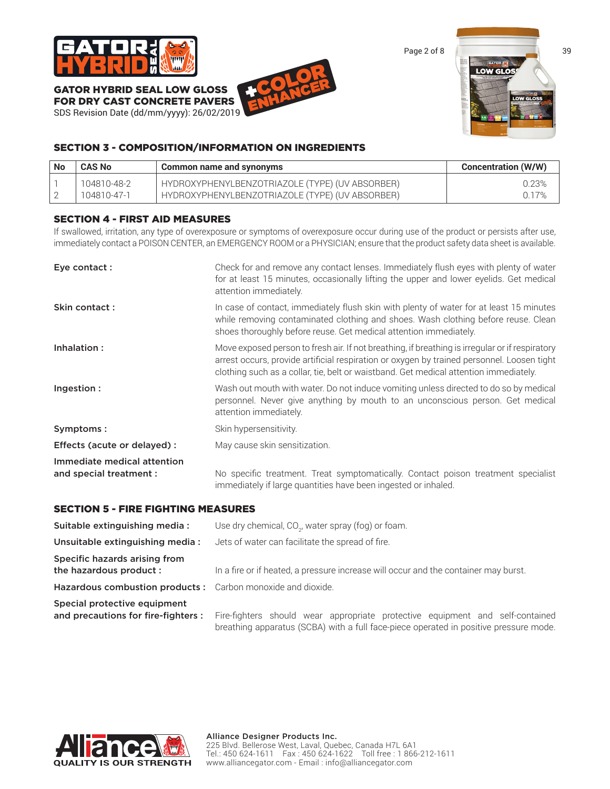

GATOR HYBRID SEAL LOW GLOSS FOR DRY CAST CONCRETE PAVERS

SDS Revision Date (dd/mm/yyyy): 26/02/2019





# SECTION 3 - COMPOSITION/INFORMATION ON INGREDIENTS

| <b>No</b> | <b>CAS No</b> | Common name and synonyms                        | <b>Concentration (W/W)</b> |
|-----------|---------------|-------------------------------------------------|----------------------------|
|           | 104810-48-2   | HYDROXYPHENYLBENZOTRIAZOLE (TYPE) (UV ABSORBER) | 0.23%                      |
|           | 104810-47-1   | HYDROXYPHENYLBENZOTRIAZOLE (TYPE) (UV ABSORBER) | 0.17%                      |

# SECTION 4 - FIRST AID MEASURES

If swallowed, irritation, any type of overexposure or symptoms of overexposure occur during use of the product or persists after use, immediately contact a POISON CENTER, an EMERGENCY ROOM or a PHYSICIAN; ensure that the product safety data sheet is available.

| Eye contact:                                           | Check for and remove any contact lenses. Immediately flush eyes with plenty of water<br>for at least 15 minutes, occasionally lifting the upper and lower eyelids. Get medical<br>attention immediately.                                                                               |
|--------------------------------------------------------|----------------------------------------------------------------------------------------------------------------------------------------------------------------------------------------------------------------------------------------------------------------------------------------|
| Skin contact:                                          | In case of contact, immediately flush skin with plenty of water for at least 15 minutes<br>while removing contaminated clothing and shoes. Wash clothing before reuse. Clean<br>shoes thoroughly before reuse. Get medical attention immediately.                                      |
| Inhalation:                                            | Move exposed person to fresh air. If not breathing, if breathing is irregular or if respiratory<br>arrest occurs, provide artificial respiration or oxygen by trained personnel. Loosen tight<br>clothing such as a collar, tie, belt or waistband. Get medical attention immediately. |
| Ingestion :                                            | Wash out mouth with water. Do not induce vomiting unless directed to do so by medical<br>personnel. Never give anything by mouth to an unconscious person. Get medical<br>attention immediately.                                                                                       |
| Symptoms:                                              | Skin hypersensitivity.                                                                                                                                                                                                                                                                 |
| Effects (acute or delayed) :                           | May cause skin sensitization.                                                                                                                                                                                                                                                          |
| Immediate medical attention<br>and special treatment : | No specific treatment. Treat symptomatically. Contact poison treatment specialist<br>immediately if large quantities have been ingested or inhaled.                                                                                                                                    |

# SECTION 5 - FIRE FIGHTING MEASURES

| Suitable extinguishing media:                                      | Use dry chemical, CO <sub>2</sub> , water spray (fog) or foam.                                                                                                         |  |  |
|--------------------------------------------------------------------|------------------------------------------------------------------------------------------------------------------------------------------------------------------------|--|--|
| Unsuitable extinguishing media:                                    | Jets of water can facilitate the spread of fire.                                                                                                                       |  |  |
| Specific hazards arising from<br>the hazardous product :           | In a fire or if heated, a pressure increase will occur and the container may burst.                                                                                    |  |  |
| Hazardous combustion products: Carbon monoxide and dioxide.        |                                                                                                                                                                        |  |  |
| Special protective equipment<br>and precautions for fire-fighters: | Fire-fighters should wear appropriate protective equipment and self-contained<br>breathing apparatus (SCBA) with a full face-piece operated in positive pressure mode. |  |  |

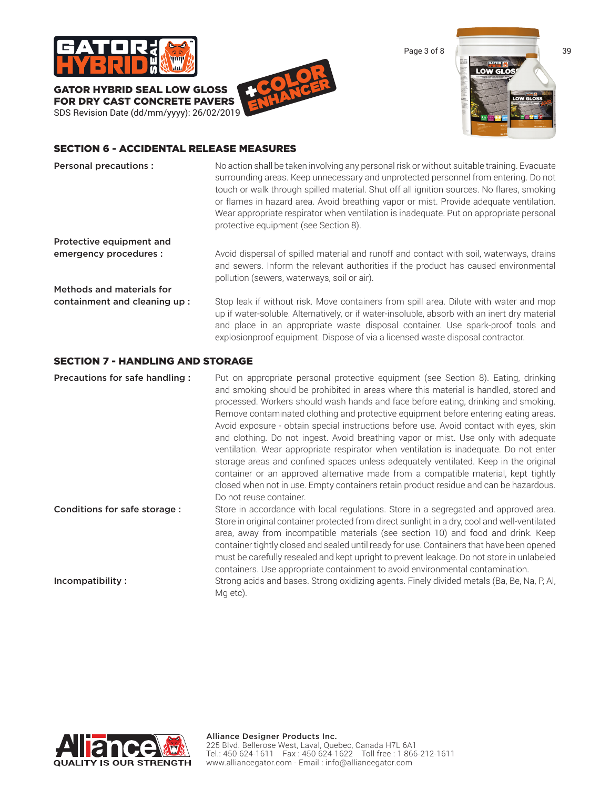

GATOR HYBRID SEAL LOW GLOSS FOR DRY CAST CONCRETE PAVERS SDS Revision Date (dd/mm/yyyy): 26/02/2019





### SECTION 6 - ACCIDENTAL RELEASE MEASURES

| <b>Personal precautions:</b>      | No action shall be taken involving any personal risk or without suitable training. Evacuate<br>surrounding areas. Keep unnecessary and unprotected personnel from entering. Do not<br>touch or walk through spilled material. Shut off all ignition sources. No flares, smoking<br>or flames in hazard area. Avoid breathing vapor or mist. Provide adequate ventilation.<br>Wear appropriate respirator when ventilation is inadequate. Put on appropriate personal<br>protective equipment (see Section 8). |
|-----------------------------------|---------------------------------------------------------------------------------------------------------------------------------------------------------------------------------------------------------------------------------------------------------------------------------------------------------------------------------------------------------------------------------------------------------------------------------------------------------------------------------------------------------------|
| Protective equipment and          |                                                                                                                                                                                                                                                                                                                                                                                                                                                                                                               |
| emergency procedures :            | Avoid dispersal of spilled material and runoff and contact with soil, waterways, drains<br>and sewers. Inform the relevant authorities if the product has caused environmental<br>pollution (sewers, waterways, soil or air).                                                                                                                                                                                                                                                                                 |
| <b>Methods and materials for</b>  |                                                                                                                                                                                                                                                                                                                                                                                                                                                                                                               |
| containment and cleaning up:      | Stop leak if without risk. Move containers from spill area. Dilute with water and mop<br>up if water-soluble. Alternatively, or if water-insoluble, absorb with an inert dry material<br>and place in an appropriate waste disposal container. Use spark-proof tools and<br>explosionproof equipment. Dispose of via a licensed waste disposal contractor.                                                                                                                                                    |
| SECTION 7 - HANDI ING AND STOPAGE |                                                                                                                                                                                                                                                                                                                                                                                                                                                                                                               |

#### SECTION 7 - HANDLING AND STORAGE

Precautions for safe handling : Put on appropriate personal protective equipment (see Section 8). Eating, drinking and smoking should be prohibited in areas where this material is handled, stored and processed. Workers should wash hands and face before eating, drinking and smoking. Remove contaminated clothing and protective equipment before entering eating areas. Avoid exposure - obtain special instructions before use. Avoid contact with eyes, skin and clothing. Do not ingest. Avoid breathing vapor or mist. Use only with adequate ventilation. Wear appropriate respirator when ventilation is inadequate. Do not enter storage areas and confined spaces unless adequately ventilated. Keep in the original container or an approved alternative made from a compatible material, kept tightly closed when not in use. Empty containers retain product residue and can be hazardous. Do not reuse container. Conditions for safe storage : Store in accordance with local regulations. Store in a segregated and approved area.

Store in original container protected from direct sunlight in a dry, cool and well-ventilated area, away from incompatible materials (see section 10) and food and drink. Keep container tightly closed and sealed until ready for use. Containers that have been opened must be carefully resealed and kept upright to prevent leakage. Do not store in unlabeled containers. Use appropriate containment to avoid environmental contamination.

Incompatibility : Strong acids and bases. Strong oxidizing agents. Finely divided metals (Ba, Be, Na, P, Al, Mg etc).

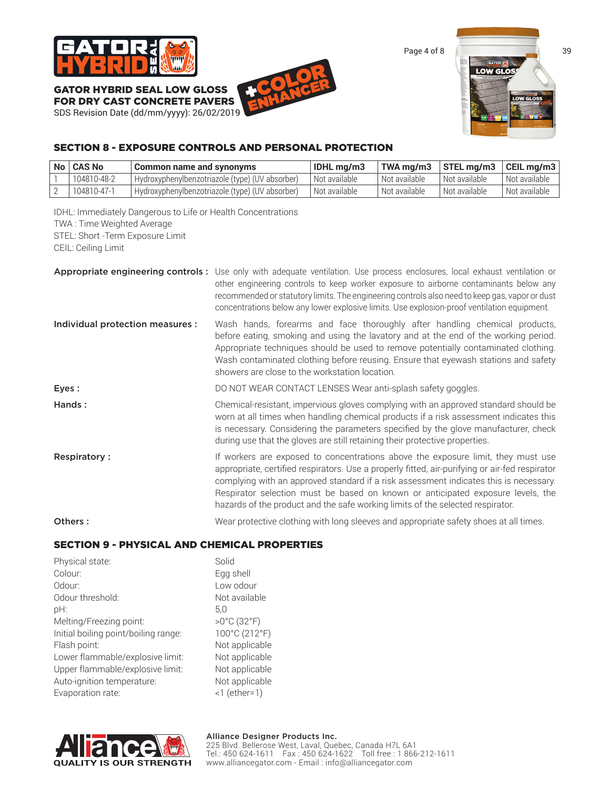

GATOR HYBRID SEAL LOW GLOSS

FOR DRY CAST CONCRETE PAVERS SDS Revision Date (dd/mm/yyyy): 26/02/2019 +COLOR ENHANCER



# SECTION 8 - EXPOSURE CONTROLS AND PERSONAL PROTECTION

| No   CAS No | Common name and synonyms                        | <b>IDHL</b> ma/m3 | TWA ma/m3     | $\vert$ STEL mg/m3 $\vert$ CEIL mg/m3 $\vert$ |                 |
|-------------|-------------------------------------------------|-------------------|---------------|-----------------------------------------------|-----------------|
| 104810-48-2 | Hydroxyphenylbenzotriazole (type) (UV absorber) | Not available     | Not available | Not available                                 | l Not available |
| 104810-47-1 | Hydroxyphenylbenzotriazole (type) (UV absorber) | Not available     | Not available | 'Not available                                | Not available   |

IDHL: Immediately Dangerous to Life or Health Concentrations TWA : Time Weighted Average STEL: Short -Term Exposure Limit

CEIL: Ceiling Limit

|                                  | Appropriate engineering controls: Use only with adequate ventilation. Use process enclosures, local exhaust ventilation or<br>other engineering controls to keep worker exposure to airborne contaminants below any<br>recommended or statutory limits. The engineering controls also need to keep gas, vapor or dust<br>concentrations below any lower explosive limits. Use explosion-proof ventilation equipment.                             |
|----------------------------------|--------------------------------------------------------------------------------------------------------------------------------------------------------------------------------------------------------------------------------------------------------------------------------------------------------------------------------------------------------------------------------------------------------------------------------------------------|
| Individual protection measures : | Wash hands, forearms and face thoroughly after handling chemical products,<br>before eating, smoking and using the lavatory and at the end of the working period.<br>Appropriate techniques should be used to remove potentially contaminated clothing.<br>Wash contaminated clothing before reusing. Ensure that eyewash stations and safety<br>showers are close to the workstation location.                                                  |
| Eyes:                            | DO NOT WEAR CONTACT LENSES Wear anti-splash safety goggles.                                                                                                                                                                                                                                                                                                                                                                                      |
| Hands:                           | Chemical-resistant, impervious gloves complying with an approved standard should be<br>worn at all times when handling chemical products if a risk assessment indicates this<br>is necessary. Considering the parameters specified by the glove manufacturer, check<br>during use that the gloves are still retaining their protective properties.                                                                                               |
| <b>Respiratory:</b>              | If workers are exposed to concentrations above the exposure limit, they must use<br>appropriate, certified respirators. Use a properly fitted, air-purifying or air-fed respirator<br>complying with an approved standard if a risk assessment indicates this is necessary.<br>Respirator selection must be based on known or anticipated exposure levels, the<br>hazards of the product and the safe working limits of the selected respirator. |
| Others:                          | Wear protective clothing with long sleeves and appropriate safety shoes at all times.                                                                                                                                                                                                                                                                                                                                                            |

# SECTION 9 - PHYSICAL AND CHEMICAL PROPERTIES

| Physical state:                      | Solid                            |
|--------------------------------------|----------------------------------|
| Colour:                              | Egg shell                        |
| Odour <sup>-</sup>                   | Low odour                        |
| Odour threshold:                     | Not available                    |
| pH:<br>5.0                           |                                  |
| Melting/Freezing point:              | $>0^{\circ}$ C (32 $^{\circ}$ F) |
| Initial boiling point/boiling range: | 100°C (212°F)                    |
| Flash point:                         | Not applicable                   |
| Lower flammable/explosive limit:     | Not applicable                   |
| Upper flammable/explosive limit:     | Not applicable                   |
| Auto-ignition temperature:           | Not applicable                   |
| Evaporation rate:                    | $<$ 1 (ether=1)                  |

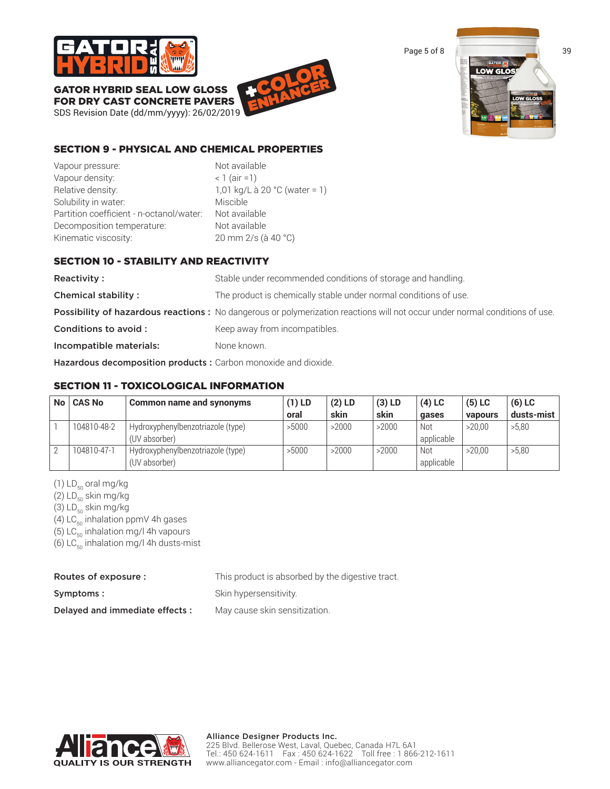

GATOR HYBRID SEAL LOW GLOSS FOR DRY CAST CONCRETE PAVERS

SDS Revision Date (dd/mm/yyyy): 26/02/2019 +COLOR ENHANCER



# SECTION 9 - PHYSICAL AND CHEMICAL PROPERTIES

Vapour pressure: Not available Vapour density:  $\langle 1 \rangle$  (air =1) Relative density:  $1,01 \text{ kg/L}$  à 20 °C (water = 1) Solubility in water: Miscible Partition coefficient - n-octanol/water: Not available Decomposition temperature: Not available Kinematic viscosity: 20 mm 2/s (à 40 °C)

# SECTION 10 - STABILITY AND REACTIVITY

Reactivity : Stable under recommended conditions of storage and handling. **Chemical stability :** The product is chemically stable under normal conditions of use. Possibility of hazardous reactions : No dangerous or polymerization reactions will not occur under normal conditions of use. **Conditions to avoid :** Keep away from incompatibles. Incompatible materials: None known.

Hazardous decomposition products : Carbon monoxide and dioxide.

# SECTION 11 - TOXICOLOGICAL INFORMATION

| <b>No</b> | <b>CAS No</b> | Common name and synonyms                           | $(1)$ LD | $(2)$ LD | $(3)$ LD | $(4)$ LC          | $(5)$ LC | $(6)$ LC   |
|-----------|---------------|----------------------------------------------------|----------|----------|----------|-------------------|----------|------------|
|           |               |                                                    | oral     | skin     | skin     | qases             | vapours  | dusts-mist |
|           | 104810-48-2   | Hydroxyphenylbenzotriazole (type)<br>(UV absorber) | >5000    | >2000    | >2000    | Not<br>applicable | >20.00   | >5,80      |
|           | 104810-47-1   | Hydroxyphenylbenzotriazole (type)<br>(UV absorber) | >5000    | >2000    | >2000    | Not<br>applicable | >20.00   | >5.80      |

(1)  $LD_{50}$  oral mg/kg

(2)  $LD_{50}$  skin mg/kg

(3)  $LD_{50}$  skin mg/kg

(4) LC $_{50}$  inhalation ppmV 4h gases

(5)  $LC_{50}$  inhalation mg/l 4h vapours

(6)  $LC_{50}$  inhalation mg/l 4h dusts-mist

| Routes of exposure :            | This product is absorbed by the digestive tract. |
|---------------------------------|--------------------------------------------------|
| Symptoms:                       | Skin hypersensitivity.                           |
| Delayed and immediate effects : | May cause skin sensitization.                    |

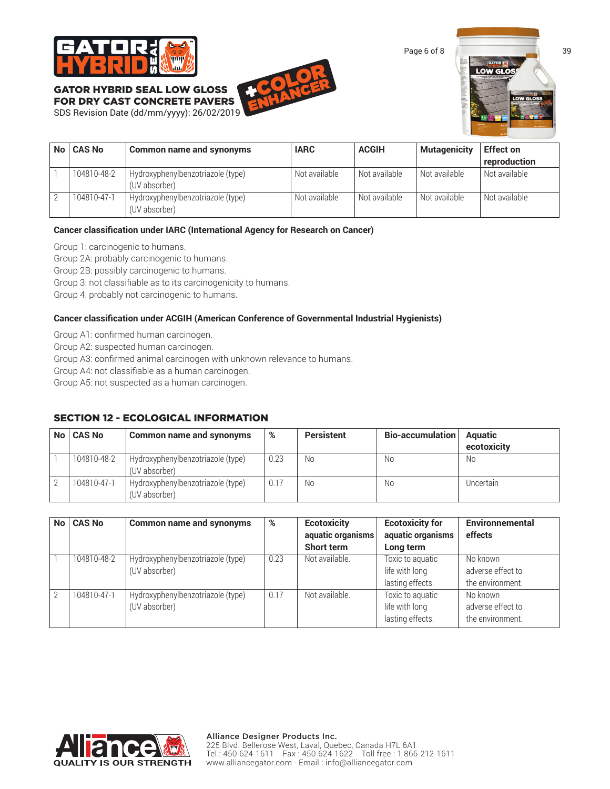

GATOR HYBRID SEAL LOW GLOSS FOR DRY CAST CONCRETE PAVERS

# SDS Revision Date (dd/mm/yyyy): 26/02/2019 +COLOR ENHANCER





| No   CAS No | Common name and synonyms                           | <b>IARC</b>   | <b>ACGIH</b>    | <b>Mutagenicity</b> | <b>Effect on</b> |
|-------------|----------------------------------------------------|---------------|-----------------|---------------------|------------------|
|             |                                                    |               |                 |                     | reproduction     |
| 104810-48-2 | Hydroxyphenylbenzotriazole (type)<br>(UV absorber) | Not available | ' Not available | Not available       | Not available    |
| 104810-47-1 | Hydroxyphenylbenzotriazole (type)<br>(UV absorber) | Not available | Not available   | Not available       | Not available    |

#### **Cancer classification under IARC (International Agency for Research on Cancer)**

Group 1: carcinogenic to humans.

Group 2A: probably carcinogenic to humans.

Group 2B: possibly carcinogenic to humans.

Group 3: not classifiable as to its carcinogenicity to humans.

Group 4: probably not carcinogenic to humans.

#### **Cancer classification under ACGIH (American Conference of Governmental Industrial Hygienists)**

Group A1: confirmed human carcinogen.

Group A2: suspected human carcinogen.

Group A3: confirmed animal carcinogen with unknown relevance to humans.

Group A4: not classifiable as a human carcinogen.

Group A5: not suspected as a human carcinogen.

# SECTION 12 - ECOLOGICAL INFORMATION

| No   CAS No | <b>Common name and synonyms</b>                    | %    | <b>Persistent</b> | Bio-accumulation | <b>Aquatic</b><br>ecotoxicity |
|-------------|----------------------------------------------------|------|-------------------|------------------|-------------------------------|
| 104810-48-2 | Hydroxyphenylbenzotriazole (type)<br>(UV absorber) | 0.23 | No                | No.              | No                            |
| 104810-47-1 | Hydroxyphenylbenzotriazole (type)<br>(UV absorber) | 0.17 | No                | No.              | Uncertain                     |

| No <sub>1</sub> | <b>CAS No</b> | <b>Common name and synonyms</b>                    | %    | <b>Ecotoxicity</b><br>aquatic organisms | <b>Ecotoxicity for</b><br>aquatic organisms            | <b>Environnemental</b><br>effects                 |
|-----------------|---------------|----------------------------------------------------|------|-----------------------------------------|--------------------------------------------------------|---------------------------------------------------|
|                 |               |                                                    |      | <b>Short term</b>                       | Long term                                              |                                                   |
|                 | 104810-48-2   | Hydroxyphenylbenzotriazole (type)<br>(UV absorber) | 0.23 | Not available.                          | Toxic to aquatic<br>life with long<br>lasting effects. | No known<br>adverse effect to<br>the environment. |
| C               | 104810-47-1   | Hydroxyphenylbenzotriazole (type)<br>(UV absorber) | 0.17 | Not available.                          | Toxic to aquatic<br>life with long<br>lasting effects. | No known<br>adverse effect to<br>the environment. |

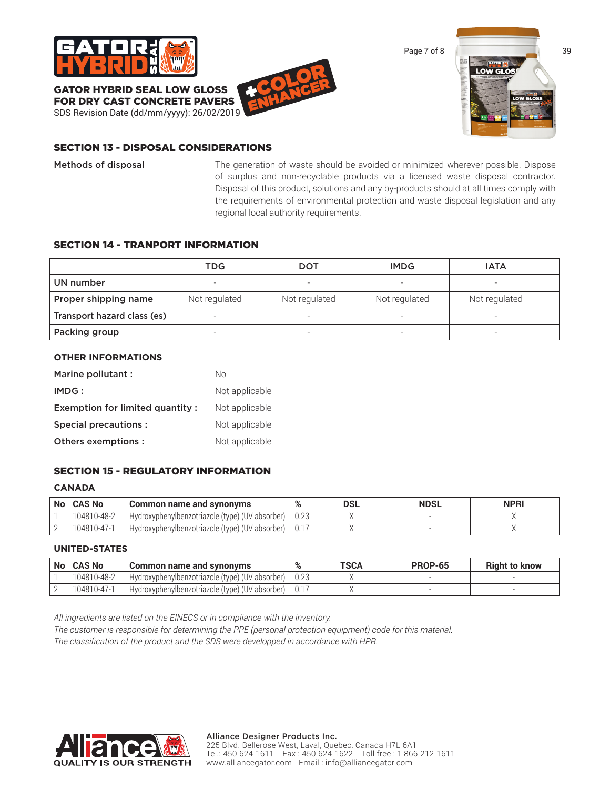

GATOR HYBRID SEAL LOW GLOSS





#### SECTION 13 - DISPOSAL CONSIDERATIONS

Methods of disposal The generation of waste should be avoided or minimized wherever possible. Dispose of surplus and non-recyclable products via a licensed waste disposal contractor. Disposal of this product, solutions and any by-products should at all times comply with the requirements of environmental protection and waste disposal legislation and any regional local authority requirements.

#### SECTION 14 - TRANPORT INFORMATION

|                             | TDG           | <b>DOT</b>    | <b>IMDG</b>              | <b>IATA</b>              |
|-----------------------------|---------------|---------------|--------------------------|--------------------------|
| UN number                   |               |               |                          |                          |
| Proper shipping name        | Not regulated | Not regulated | Not regulated            | Not regulated            |
| Transport hazard class (es) |               | -             | $\overline{\phantom{0}}$ | -                        |
| Packing group               |               |               | $\overline{\phantom{0}}$ | $\overline{\phantom{0}}$ |

#### **OTHER INFORMATIONS**

| Marine pollutant :              | Nο             |
|---------------------------------|----------------|
| IMDG:                           | Not applicable |
| Exemption for limited quantity: | Not applicable |
| Special precautions :           | Not applicable |
| Others exemptions :             | Not applicable |

#### SECTION 15 - REGULATORY INFORMATION

#### **CANADA**

| No   CAS No | Common name and synonyms                              | $\mathbf{O}/$ | DSL | <b>NDSL</b> | <b>NPRI</b> |
|-------------|-------------------------------------------------------|---------------|-----|-------------|-------------|
| 104810-48-2 | I Hydroxyphenylbenzotriazole (type) (UV absorber) +   |               |     |             |             |
| 104810-47-1 | I Hydroxyphenylbenzotriazole (type) (UV absorber)   . |               |     |             |             |

#### **UNITED-STATES**

| No   CAS No | Common name and synonyms                                     | % | TSCA | <b>PROP-65</b> | <b>Right to know</b> |
|-------------|--------------------------------------------------------------|---|------|----------------|----------------------|
| 104810-48-2 | <sup>1</sup> Hydroxyphenylbenzotriazole (type) (UV absorber) |   |      |                |                      |
| 104810-47-1 | Hydroxyphenylbenzotriazole (type) (UV absorber)              |   |      |                |                      |

*All ingredients are listed on the EINECS or in compliance with the inventory.*

*The customer is responsible for determining the PPE (personal protection equipment) code for this material. The classification of the product and the SDS were developped in accordance with HPR.*